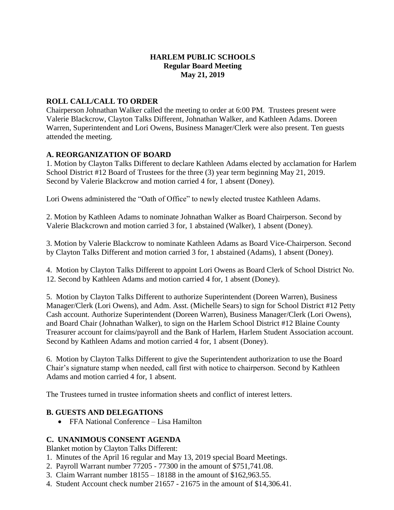## **HARLEM PUBLIC SCHOOLS Regular Board Meeting May 21, 2019**

# **ROLL CALL/CALL TO ORDER**

Chairperson Johnathan Walker called the meeting to order at 6:00 PM. Trustees present were Valerie Blackcrow, Clayton Talks Different, Johnathan Walker, and Kathleen Adams. Doreen Warren, Superintendent and Lori Owens, Business Manager/Clerk were also present. Ten guests attended the meeting.

## **A. REORGANIZATION OF BOARD**

1. Motion by Clayton Talks Different to declare Kathleen Adams elected by acclamation for Harlem School District #12 Board of Trustees for the three (3) year term beginning May 21, 2019. Second by Valerie Blackcrow and motion carried 4 for, 1 absent (Doney).

Lori Owens administered the "Oath of Office" to newly elected trustee Kathleen Adams.

2. Motion by Kathleen Adams to nominate Johnathan Walker as Board Chairperson. Second by Valerie Blackcrown and motion carried 3 for, 1 abstained (Walker), 1 absent (Doney).

3. Motion by Valerie Blackcrow to nominate Kathleen Adams as Board Vice-Chairperson. Second by Clayton Talks Different and motion carried 3 for, 1 abstained (Adams), 1 absent (Doney).

4. Motion by Clayton Talks Different to appoint Lori Owens as Board Clerk of School District No. 12. Second by Kathleen Adams and motion carried 4 for, 1 absent (Doney).

5. Motion by Clayton Talks Different to authorize Superintendent (Doreen Warren), Business Manager/Clerk (Lori Owens), and Adm. Asst. (Michelle Sears) to sign for School District #12 Petty Cash account. Authorize Superintendent (Doreen Warren), Business Manager/Clerk (Lori Owens), and Board Chair (Johnathan Walker), to sign on the Harlem School District #12 Blaine County Treasurer account for claims/payroll and the Bank of Harlem, Harlem Student Association account. Second by Kathleen Adams and motion carried 4 for, 1 absent (Doney).

6. Motion by Clayton Talks Different to give the Superintendent authorization to use the Board Chair's signature stamp when needed, call first with notice to chairperson. Second by Kathleen Adams and motion carried 4 for, 1 absent.

The Trustees turned in trustee information sheets and conflict of interest letters.

## **B. GUESTS AND DELEGATIONS**

FFA National Conference – Lisa Hamilton

## **C. UNANIMOUS CONSENT AGENDA**

Blanket motion by Clayton Talks Different:

- 1. Minutes of the April 16 regular and May 13, 2019 special Board Meetings.
- 2. Payroll Warrant number 77205 77300 in the amount of \$751,741.08.
- 3. Claim Warrant number 18155 18188 in the amount of \$162,963.55.
- 4. Student Account check number 21657 21675 in the amount of \$14,306.41.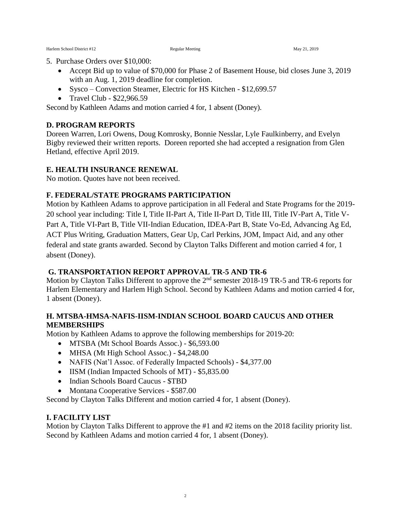- 5. Purchase Orders over \$10,000:
	- Accept Bid up to value of \$70,000 for Phase 2 of Basement House, bid closes June 3, 2019 with an Aug. 1, 2019 deadline for completion.
	- Sysco Convection Steamer, Electric for HS Kitchen \$12,699.57
	- Travel Club  $$22,966.59$

Second by Kathleen Adams and motion carried 4 for, 1 absent (Doney).

#### **D. PROGRAM REPORTS**

Doreen Warren, Lori Owens, Doug Komrosky, Bonnie Nesslar, Lyle Faulkinberry, and Evelyn Bigby reviewed their written reports. Doreen reported she had accepted a resignation from Glen Hetland, effective April 2019.

#### **E. HEALTH INSURANCE RENEWAL**

No motion. Quotes have not been received.

#### **F. FEDERAL/STATE PROGRAMS PARTICIPATION**

Motion by Kathleen Adams to approve participation in all Federal and State Programs for the 2019- 20 school year including: Title I, Title II-Part A, Title II-Part D, Title III, Title IV-Part A, Title V-Part A, Title VI-Part B, Title VII-Indian Education, IDEA-Part B, State Vo-Ed, Advancing Ag Ed, ACT Plus Writing, Graduation Matters, Gear Up, Carl Perkins, JOM, Impact Aid, and any other federal and state grants awarded. Second by Clayton Talks Different and motion carried 4 for, 1 absent (Doney).

# **G. TRANSPORTATION REPORT APPROVAL TR-5 AND TR-6**

Motion by Clayton Talks Different to approve the 2<sup>nd</sup> semester 2018-19 TR-5 and TR-6 reports for Harlem Elementary and Harlem High School. Second by Kathleen Adams and motion carried 4 for, 1 absent (Doney).

## **H. MTSBA-HMSA-NAFIS-IISM-INDIAN SCHOOL BOARD CAUCUS AND OTHER MEMBERSHIPS**

Motion by Kathleen Adams to approve the following memberships for 2019-20:

- MTSBA (Mt School Boards Assoc.) \$6,593.00
- MHSA (Mt High School Assoc.) \$4,248.00
- NAFIS (Nat'l Assoc. of Federally Impacted Schools) \$4,377.00
- IISM (Indian Impacted Schools of MT) \$5,835.00
- Indian Schools Board Caucus \$TBD
- Montana Cooperative Services \$587.00

Second by Clayton Talks Different and motion carried 4 for, 1 absent (Doney).

#### **I. FACILITY LIST**

Motion by Clayton Talks Different to approve the #1 and #2 items on the 2018 facility priority list. Second by Kathleen Adams and motion carried 4 for, 1 absent (Doney).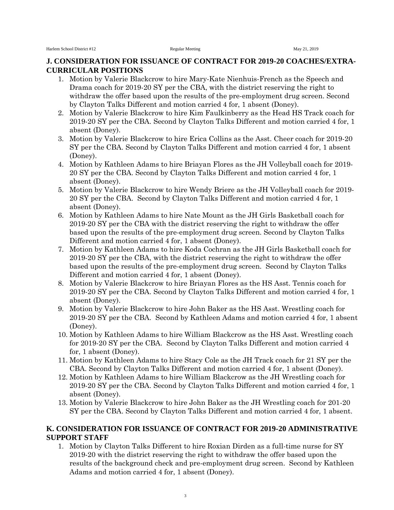#### **J. CONSIDERATION FOR ISSUANCE OF CONTRACT FOR 2019-20 COACHES/EXTRA-CURRICULAR POSITIONS**

- 1. Motion by Valerie Blackcrow to hire Mary-Kate Nienhuis-French as the Speech and Drama coach for 2019-20 SY per the CBA, with the district reserving the right to withdraw the offer based upon the results of the pre-employment drug screen. Second by Clayton Talks Different and motion carried 4 for, 1 absent (Doney).
- 2. Motion by Valerie Blackcrow to hire Kim Faulkinberry as the Head HS Track coach for 2019-20 SY per the CBA. Second by Clayton Talks Different and motion carried 4 for, 1 absent (Doney).
- 3. Motion by Valerie Blackcrow to hire Erica Collins as the Asst. Cheer coach for 2019-20 SY per the CBA. Second by Clayton Talks Different and motion carried 4 for, 1 absent (Doney).
- 4. Motion by Kathleen Adams to hire Briayan Flores as the JH Volleyball coach for 2019- 20 SY per the CBA. Second by Clayton Talks Different and motion carried 4 for, 1 absent (Doney).
- 5. Motion by Valerie Blackcrow to hire Wendy Briere as the JH Volleyball coach for 2019- 20 SY per the CBA. Second by Clayton Talks Different and motion carried 4 for, 1 absent (Doney).
- 6. Motion by Kathleen Adams to hire Nate Mount as the JH Girls Basketball coach for 2019-20 SY per the CBA with the district reserving the right to withdraw the offer based upon the results of the pre-employment drug screen. Second by Clayton Talks Different and motion carried 4 for, 1 absent (Doney).
- 7. Motion by Kathleen Adams to hire Koda Cochran as the JH Girls Basketball coach for 2019-20 SY per the CBA, with the district reserving the right to withdraw the offer based upon the results of the pre-employment drug screen. Second by Clayton Talks Different and motion carried 4 for, 1 absent (Doney).
- 8. Motion by Valerie Blackcrow to hire Briayan Flores as the HS Asst. Tennis coach for 2019-20 SY per the CBA. Second by Clayton Talks Different and motion carried 4 for, 1 absent (Doney).
- 9. Motion by Valerie Blackcrow to hire John Baker as the HS Asst. Wrestling coach for 2019-20 SY per the CBA. Second by Kathleen Adams and motion carried 4 for, 1 absent (Doney).
- 10. Motion by Kathleen Adams to hire William Blackcrow as the HS Asst. Wrestling coach for 2019-20 SY per the CBA. Second by Clayton Talks Different and motion carried 4 for, 1 absent (Doney).
- 11. Motion by Kathleen Adams to hire Stacy Cole as the JH Track coach for 21 SY per the CBA. Second by Clayton Talks Different and motion carried 4 for, 1 absent (Doney).
- 12. Motion by Kathleen Adams to hire William Blackcrow as the JH Wrestling coach for 2019-20 SY per the CBA. Second by Clayton Talks Different and motion carried 4 for, 1 absent (Doney).
- 13. Motion by Valerie Blackcrow to hire John Baker as the JH Wrestling coach for 201-20 SY per the CBA. Second by Clayton Talks Different and motion carried 4 for, 1 absent.

#### **K. CONSIDERATION FOR ISSUANCE OF CONTRACT FOR 2019-20 ADMINISTRATIVE SUPPORT STAFF**

1. Motion by Clayton Talks Different to hire Roxian Dirden as a full-time nurse for SY 2019-20 with the district reserving the right to withdraw the offer based upon the results of the background check and pre-employment drug screen. Second by Kathleen Adams and motion carried 4 for, 1 absent (Doney).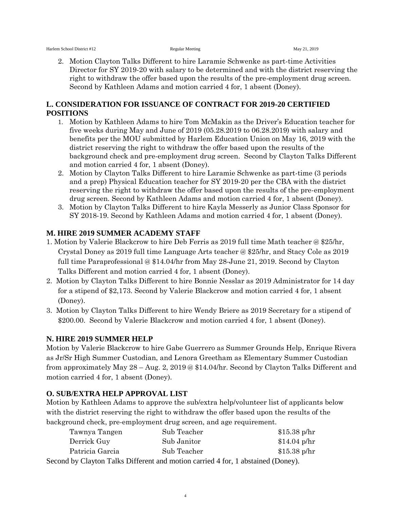2. Motion Clayton Talks Different to hire Laramie Schwenke as part-time Activities Director for SY 2019-20 with salary to be determined and with the district reserving the right to withdraw the offer based upon the results of the pre-employment drug screen. Second by Kathleen Adams and motion carried 4 for, 1 absent (Doney).

## **L. CONSIDERATION FOR ISSUANCE OF CONTRACT FOR 2019-20 CERTIFIED POSITIONS**

- 1. Motion by Kathleen Adams to hire Tom McMakin as the Driver's Education teacher for five weeks during May and June of 2019 (05.28.2019 to 06.28.2019) with salary and benefits per the MOU submitted by Harlem Education Union on May 16, 2019 with the district reserving the right to withdraw the offer based upon the results of the background check and pre-employment drug screen. Second by Clayton Talks Different and motion carried 4 for, 1 absent (Doney).
- 2. Motion by Clayton Talks Different to hire Laramie Schwenke as part-time (3 periods and a prep) Physical Education teacher for SY 2019-20 per the CBA with the district reserving the right to withdraw the offer based upon the results of the pre-employment drug screen. Second by Kathleen Adams and motion carried 4 for, 1 absent (Doney).
- 3. Motion by Clayton Talks Different to hire Kayla Messerly as Junior Class Sponsor for SY 2018-19. Second by Kathleen Adams and motion carried 4 for, 1 absent (Doney).

## **M. HIRE 2019 SUMMER ACADEMY STAFF**

- 1. Motion by Valerie Blackcrow to hire Deb Ferris as 2019 full time Math teacher @ \$25/hr, Crystal Doney as 2019 full time Language Arts teacher @ \$25/hr, and Stacy Cole as 2019 full time Paraprofessional @ \$14.04/hr from May 28-June 21, 2019. Second by Clayton Talks Different and motion carried 4 for, 1 absent (Doney).
- 2. Motion by Clayton Talks Different to hire Bonnie Nesslar as 2019 Administrator for 14 day for a stipend of \$2,173. Second by Valerie Blackcrow and motion carried 4 for, 1 absent (Doney).
- 3. Motion by Clayton Talks Different to hire Wendy Briere as 2019 Secretary for a stipend of \$200.00. Second by Valerie Blackcrow and motion carried 4 for, 1 absent (Doney).

## **N. HIRE 2019 SUMMER HELP**

Motion by Valerie Blackcrow to hire Gabe Guerrero as Summer Grounds Help, Enrique Rivera as Jr/Sr High Summer Custodian, and Lenora Greetham as Elementary Summer Custodian from approximately May 28 – Aug. 2, 2019 @ \$14.04/hr. Second by Clayton Talks Different and motion carried 4 for, 1 absent (Doney).

## **O. SUB/EXTRA HELP APPROVAL LIST**

Motion by Kathleen Adams to approve the sub/extra help/volunteer list of applicants below with the district reserving the right to withdraw the offer based upon the results of the background check, pre-employment drug screen, and age requirement.

| Tawnya Tangen                                                                    | Sub Teacher | $$15.38$ p/hr |
|----------------------------------------------------------------------------------|-------------|---------------|
| Derrick Guy                                                                      | Sub Janitor | $$14.04$ p/hr |
| Patricia Garcia                                                                  | Sub Teacher | $$15.38$ p/hr |
| Second by Clayton Talks Different and motion carried 4 for, 1 abstained (Doney). |             |               |